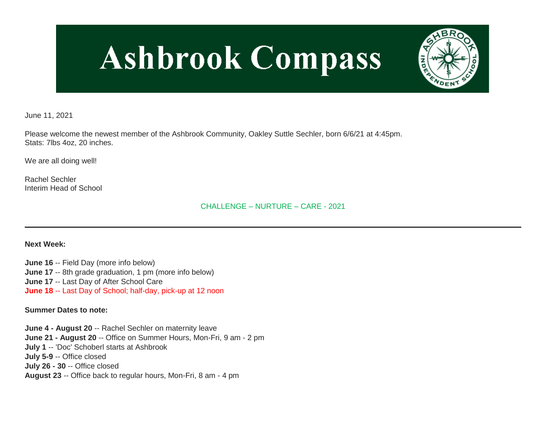# **Ashbrook Compass**



June 11, 2021

Please welcome the newest member of the Ashbrook Community, Oakley Suttle Sechler, born 6/6/21 at 4:45pm. Stats: 7lbs 4oz, 20 inches.

We are all doing well!

Rachel Sechler Interim Head of School

CHALLENGE – NURTURE – CARE - 2021

**Next Week:**

**June 16** -- Field Day (more info below) **June 17** -- 8th grade graduation, 1 pm (more info below) **June 17** -- Last Day of After School Care **June 18** -- Last Day of School; half-day, pick-up at 12 noon

**Summer Dates to note:**

**June 4 - August 20** -- Rachel Sechler on maternity leave **June 21 - August 20** -- Office on Summer Hours, Mon-Fri, 9 am - 2 pm **July 1** -- 'Doc' Schoberl starts at Ashbrook **July 5-9** -- Office closed **July 26 - 30** -- Office closed **August 23** -- Office back to regular hours, Mon-Fri, 8 am - 4 pm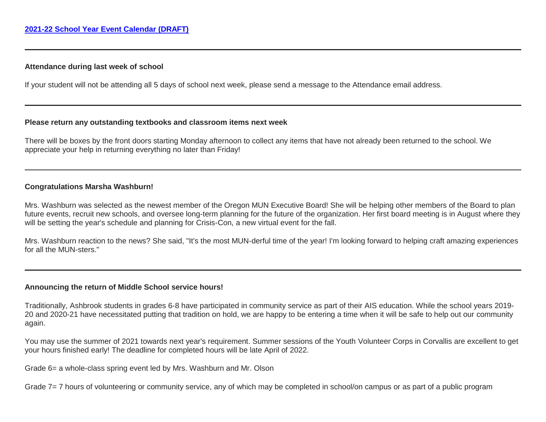## **Attendance during last week of school**

If your student will not be attending all 5 days of school next week, please send a message to the Attendance email address.

## **Please return any outstanding textbooks and classroom items next week**

There will be boxes by the front doors starting Monday afternoon to collect any items that have not already been returned to the school. We appreciate your help in returning everything no later than Friday!

## **Congratulations Marsha Washburn!**

Mrs. Washburn was selected as the newest member of the Oregon MUN Executive Board! She will be helping other members of the Board to plan future events, recruit new schools, and oversee long-term planning for the future of the organization. Her first board meeting is in August where they will be setting the year's schedule and planning for Crisis-Con, a new virtual event for the fall.

Mrs. Washburn reaction to the news? She said, "It's the most MUN-derful time of the year! I'm looking forward to helping craft amazing experiences for all the MUN-sters."

### **Announcing the return of Middle School service hours!**

Traditionally, Ashbrook students in grades 6-8 have participated in community service as part of their AIS education. While the school years 2019- 20 and 2020-21 have necessitated putting that tradition on hold, we are happy to be entering a time when it will be safe to help out our community again.

You may use the summer of 2021 towards next year's requirement. Summer sessions of the Youth Volunteer Corps in Corvallis are excellent to get your hours finished early! The deadline for completed hours will be late April of 2022.

Grade 6= a whole-class spring event led by Mrs. Washburn and Mr. Olson

Grade 7= 7 hours of volunteering or community service, any of which may be completed in school/on campus or as part of a public program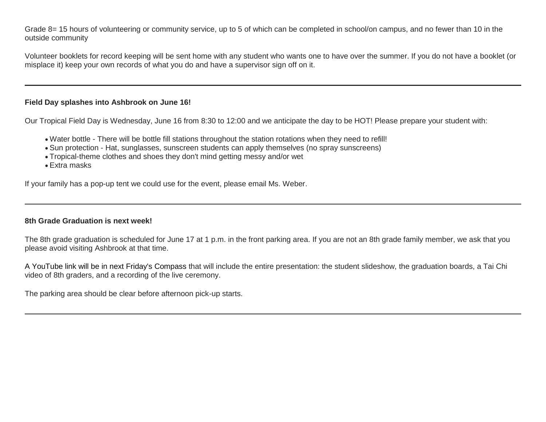Grade 8= 15 hours of volunteering or community service, up to 5 of which can be completed in school/on campus, and no fewer than 10 in the outside community

Volunteer booklets for record keeping will be sent home with any student who wants one to have over the summer. If you do not have a booklet (or misplace it) keep your own records of what you do and have a supervisor sign off on it.

## **Field Day splashes into Ashbrook on June 16!**

Our Tropical Field Day is Wednesday, June 16 from 8:30 to 12:00 and we anticipate the day to be HOT! Please prepare your student with:

- Water bottle There will be bottle fill stations throughout the station rotations when they need to refill!
- Sun protection Hat, sunglasses, sunscreen students can apply themselves (no spray sunscreens)
- Tropical-theme clothes and shoes they don't mind getting messy and/or wet
- Extra masks

If your family has a pop-up tent we could use for the event, please email Ms. Weber.

### **8th Grade Graduation is next week!**

The 8th grade graduation is scheduled for June 17 at 1 p.m. in the front parking area. If you are not an 8th grade family member, we ask that you please avoid visiting Ashbrook at that time.

A YouTube link will be in next Friday's Compass that will include the entire presentation: the student slideshow, the graduation boards, a Tai Chi video of 8th graders, and a recording of the live ceremony.

The parking area should be clear before afternoon pick-up starts.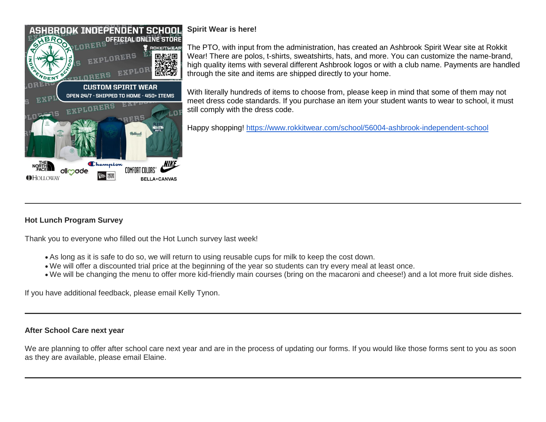

# **Spirit Wear is here!**

The PTO, with input from the administration, has created an Ashbrook Spirit Wear site at Rokkit Wear! There are polos, t-shirts, sweatshirts, hats, and more. You can customize the name-brand, high quality items with several different Ashbrook logos or with a club name. Payments are handled through the site and items are shipped directly to your home.

With literally hundreds of items to choose from, please keep in mind that some of them may not meet dress code standards. If you purchase an item your student wants to wear to school, it must still comply with the dress code.

Happy shopping! [https://www.rokkitwear.com/school/56004-ashbrook-independent-school](http://link.mystudentsprogress.com/ls/click?upn=5XDbAd9r0ovG7GZusFBG8DQpC7EwYcAy7kBvTX7exXsui7FxTRdqN1X9smo-2FWmvq2kckjggcg-2F006x9XQqBvW7U43qpuWIeLoBy8UUhmGro-3DGzXb_1PndbFfBoQGSZbxwXHHEexw3B2F0fG-2BUmuXm6a-2BX-2BztG4tizdExRXiOuDYi08K3xnubTFGfvxem7EbUW1bjo2Nzk3n7RqGqd3pV82qCDYS7l2mDlO43vDErcVDLNFOBmQq2pJnDYUbCPVBzuS6pS1JLy-2F-2FTx3raN50a1Mz7rhL-2FSEymHTNA48US8pMxS1JX2a88-2BA2wQhLjJPhRS9fI1mKXJJ5w-2Ba6WD3Pns-2FcNRr1uV-2FingcAmjmMHPni8Sb7d7ShjvTrDBXnUykfv8EZnjKE5sXX2OXEefH8onf14ob1SpWlYuQl-2FielVILdWtg4MBxE1sJesakSMPGaGvvInJLbbvOcfRpxq-2FiNopTnOG5W2Yi2VrTDmObkO-2Flh4bw-2FCCmN6A9WVAxhhYQcpsfg6-2FHGU58Qj8FU-2FF71Oabc0y8zqVwDQdPLbKGiJzNuygtRci)

# **Hot Lunch Program Survey**

Thank you to everyone who filled out the Hot Lunch survey last week!

- As long as it is safe to do so, we will return to using reusable cups for milk to keep the cost down.
- We will offer a discounted trial price at the beginning of the year so students can try every meal at least once.
- We will be changing the menu to offer more kid-friendly main courses (bring on the macaroni and cheese!) and a lot more fruit side dishes.

If you have additional feedback, please email Kelly Tynon.

## **After School Care next year**

We are planning to offer after school care next year and are in the process of updating our forms. If you would like those forms sent to you as soon as they are available, please email Elaine.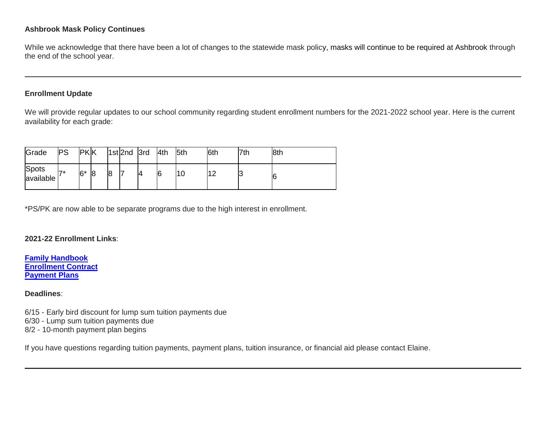# **Ashbrook Mask Policy Continues**

While we acknowledge that there have been a lot of changes to the statewide mask policy, masks will continue to be required at Ashbrook through the end of the school year.

## **Enrollment Update**

We will provide regular updates to our school community regarding student enrollment numbers for the 2021-2022 school year. Here is the current availability for each grade:

| Grade                     | <b>PS</b> | <b>PKK</b> |   |   | 1st 2nd 3rd | 4th | <b>5th</b> | 6th | 7th | 8th |
|---------------------------|-----------|------------|---|---|-------------|-----|------------|-----|-----|-----|
| <b>Spots</b><br>available | フォ        | $6*$       | 8 | 8 |             | 6   | 10         |     | כו  | 6   |

\*PS/PK are now able to be separate programs due to the high interest in enrollment.

**2021-22 Enrollment Links**:

**[Family Handbook](http://link.mystudentsprogress.com/ls/click?upn=n7jYKe39nC4PrVAw2BzaOolgU5XUleaJ61qfvNJxTW3uoi8RFzNYUfSc1qXdqajA34djZWrxIBJBxzp2whbybvqIYp3dDOkCDgKesziBdCm1u7J5UB6bwQicng-2BhFj8j9ZZ0Lb7IyRpSLLhbS8X-2BNE-2FsFTu5auQ5tTHoLi9o48o-3DRZC2_1PndbFfBoQGSZbxwXHHEexw3B2F0fG-2BUmuXm6a-2BX-2BztG4tizdExRXiOuDYi08K3xnubTFGfvxem7EbUW1bjo2ClPDQQFnPG3Qtd1LUUf-2BpPDBIeQit89DRm-2Fn-2FVy2xhkKExvUURe5DKSeyLctlZLvj2gyPAHhCMovKm8JdlEAylHooEn986DACfI71fxLYmzDnAyhmyMYHVEYbYlQoqZji7dYf5Gpa4aRTsNi2wzB2L4ijQbdassuhkTXi2XDO7x70NFJq0gIw4gEncktpJEYia3aEF7-2BIHy4OWwY-2F4-2ByGiZwow8kaXWUy-2BXrMJNGV2O6u-2BGrBjUEhKAJPTw7bPBGYV6Mwanu1K1NDLf-2FRXTbHbinVPHWWAamxJAja6HWcf7YlKMDYzZp7Jc8LGRrlHv1ZzEAoP8xYRM9Hj6sAF4w-2F4AwJgs02QnV4Vij-2BYZJVLV) [Enrollment Contract](http://link.mystudentsprogress.com/ls/click?upn=VTTLfIwNu5QFy05N-2BXKA7MM5XZ-2FaPNghD0e589AKGRWdKrXyK6-2Bm8bb1I1DfT5Io0Hv1qAH8mdM37znR5vOcFGB7DIQx2jp4xdjBwuqeZxT1Pjkge-2BjWLaV97kHLeMz5TQtiyRq8-2FrZ-2FtIkmMJcnCvTSbyF8-2BEnMtFIKrlq0nbyYLhMWqtk6N17cNuWkmBCi2eg-2FDcyJo-2FZoHU6aac7YTMbLoqiYM-2Bpq5ghj-2BCMqt1Q-3DlRam_1PndbFfBoQGSZbxwXHHEexw3B2F0fG-2BUmuXm6a-2BX-2BztG4tizdExRXiOuDYi08K3xnubTFGfvxem7EbUW1bjo2JPw-2F25jlKclI-2BXJxOUQzCTbTlZiXJ6PkJNcC2VGgeYBRIEJyysAL7ShAPniPva0uUcmdVmkOiOtWsuRdCHf3mBEkMPU54F9u4Q7EysQY1Ha6Hws7DLNgyUmyyhX4A-2FUcsINjPRnlnmSMitVOu8yNs0SRAtX5xWJN3gRWHgz7Box3HOMY55DoWERsKm69kNN1SpRXGNXW9HS5X04j6SYYi98qaACOqNIsQyjEr6SxalO-2Bpd82f3bFA0t7QbsGwMMDLLGk0oY9pz8c5Etwb0-2Bj50C2CxW-2B-2BCEmY2UCg-2BJ95CieQYmgox2KTTUe4-2Bt8Y-2B7-2B0fvWDjoAsGrRh2Vlv3DGTzYDI23w96JZfnVKt92ONoE) [Payment Plans](http://link.mystudentsprogress.com/ls/click?upn=n7jYKe39nC4PrVAw2BzaOolgU5XUleaJ61qfvNJxTW3uoi8RFzNYUfSc1qXdqajA34djZWrxIBJBxzp2whbybvqIYp3dDOkCDgKesziBdClkeFpPmgMGrgcxNe5TC96odu91tl93IdUb7rzqL2LYFkOwDdym2keCOp3gkw-2Fos5E-3DGgYc_1PndbFfBoQGSZbxwXHHEexw3B2F0fG-2BUmuXm6a-2BX-2BztG4tizdExRXiOuDYi08K3xnubTFGfvxem7EbUW1bjo2G0fWB0eXQ5RYGYqeEinUnbXTCgSDxwmXXyXELea4tiJjV3RsC0FCI1xu7soNSdHOUtQzA7hW9Sf45DBXtm7ypCi9eJtFP4n-2FIzEKQ-2BpY7D2XTkoH4U-2BoHsQadEgvSmGvbBrBXtPzJkpQL15C8omYk97QwTlsoQv5-2BhdCPi3EMlJ3WEWSVhTCM8-2F1ylWhS8YAX8AV5yn5dZPdbUXMmg-2FHdIazJqBxcfKqeGjOE-2FzeNOVnXDdKX3s-2FYGExSuVllDRU2KxD4IjXNKdUlA1K050tWtj1aXodGxdVgpBLbgmTEBqVqFcpO2Ca-2FBRrUPzV0TmrAGwbby4asAZy-2Fpfie6FX-2FCApl9HwWoFvZ-2F2g77znZx-2B)**

## **Deadlines**:

6/15 - Early bird discount for lump sum tuition payments due 6/30 - Lump sum tuition payments due 8/2 - 10-month payment plan begins

If you have questions regarding tuition payments, payment plans, tuition insurance, or financial aid please contact Elaine.